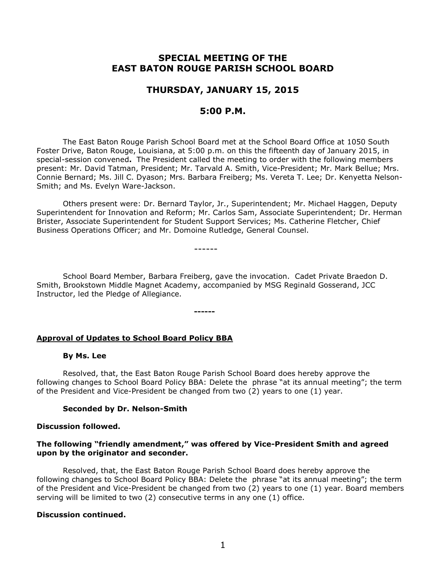# **SPECIAL MEETING OF THE EAST BATON ROUGE PARISH SCHOOL BOARD**

## **THURSDAY, JANUARY 15, 2015**

## **5:00 P.M.**

The East Baton Rouge Parish School Board met at the School Board Office at 1050 South Foster Drive, Baton Rouge, Louisiana, at 5:00 p.m. on this the fifteenth day of January 2015, in special-session convened**.** The President called the meeting to order with the following members present: Mr. David Tatman, President; Mr. Tarvald A. Smith, Vice-President; Mr. Mark Bellue; Mrs. Connie Bernard; Ms. Jill C. Dyason; Mrs. Barbara Freiberg; Ms. Vereta T. Lee; Dr. Kenyetta Nelson-Smith; and Ms. Evelyn Ware-Jackson.

Others present were: Dr. Bernard Taylor, Jr., Superintendent; Mr. Michael Haggen, Deputy Superintendent for Innovation and Reform; Mr. Carlos Sam, Associate Superintendent; Dr. Herman Brister, Associate Superintendent for Student Support Services; Ms. Catherine Fletcher, Chief Business Operations Officer; and Mr. Domoine Rutledge, General Counsel.

------

School Board Member, Barbara Freiberg, gave the invocation. Cadet Private Braedon D. Smith, Brookstown Middle Magnet Academy, accompanied by MSG Reginald Gosserand, JCC Instructor, led the Pledge of Allegiance.

**------**

## **Approval of Updates to School Board Policy BBA**

#### **By Ms. Lee**

Resolved, that, the East Baton Rouge Parish School Board does hereby approve the following changes to School Board Policy BBA: Delete the phrase "at its annual meeting"; the term of the President and Vice-President be changed from two (2) years to one (1) year.

#### **Seconded by Dr. Nelson-Smith**

#### **Discussion followed.**

## **The following "friendly amendment," was offered by Vice-President Smith and agreed upon by the originator and seconder.**

Resolved, that, the East Baton Rouge Parish School Board does hereby approve the following changes to School Board Policy BBA: Delete the phrase "at its annual meeting"; the term of the President and Vice-President be changed from two (2) years to one (1) year. Board members serving will be limited to two (2) consecutive terms in any one (1) office.

## **Discussion continued.**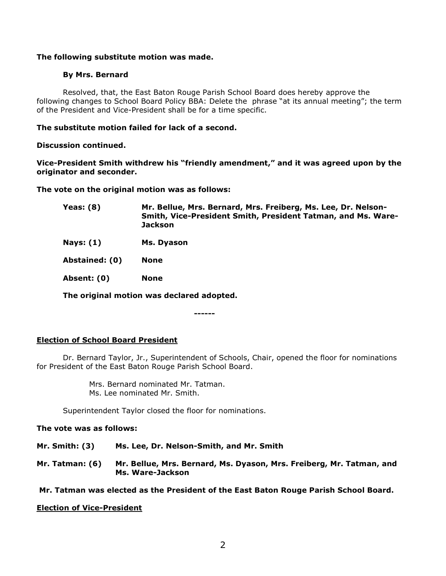## **The following substitute motion was made.**

#### **By Mrs. Bernard**

Resolved, that, the East Baton Rouge Parish School Board does hereby approve the following changes to School Board Policy BBA: Delete the phrase "at its annual meeting"; the term of the President and Vice-President shall be for a time specific.

#### **The substitute motion failed for lack of a second.**

#### **Discussion continued.**

**Vice-President Smith withdrew his "friendly amendment," and it was agreed upon by the originator and seconder.**

**The vote on the original motion was as follows:**

- **Yeas: (8) Mr. Bellue, Mrs. Bernard, Mrs. Freiberg, Ms. Lee, Dr. Nelson-Smith, Vice-President Smith, President Tatman, and Ms. Ware-Jackson**
- **Nays: (1) Ms. Dyason**

**Abstained: (0) None** 

**Absent: (0) None**

**The original motion was declared adopted.**

**------**

## **Election of School Board President**

Dr. Bernard Taylor, Jr., Superintendent of Schools, Chair, opened the floor for nominations for President of the East Baton Rouge Parish School Board.

> Mrs. Bernard nominated Mr. Tatman. Ms. Lee nominated Mr. Smith.

Superintendent Taylor closed the floor for nominations.

## **The vote was as follows:**

- **Mr. Smith: (3) Ms. Lee, Dr. Nelson-Smith, and Mr. Smith**
- **Mr. Tatman: (6) Mr. Bellue, Mrs. Bernard, Ms. Dyason, Mrs. Freiberg, Mr. Tatman, and Ms. Ware-Jackson**

**Mr. Tatman was elected as the President of the East Baton Rouge Parish School Board.**

#### **Election of Vice-President**